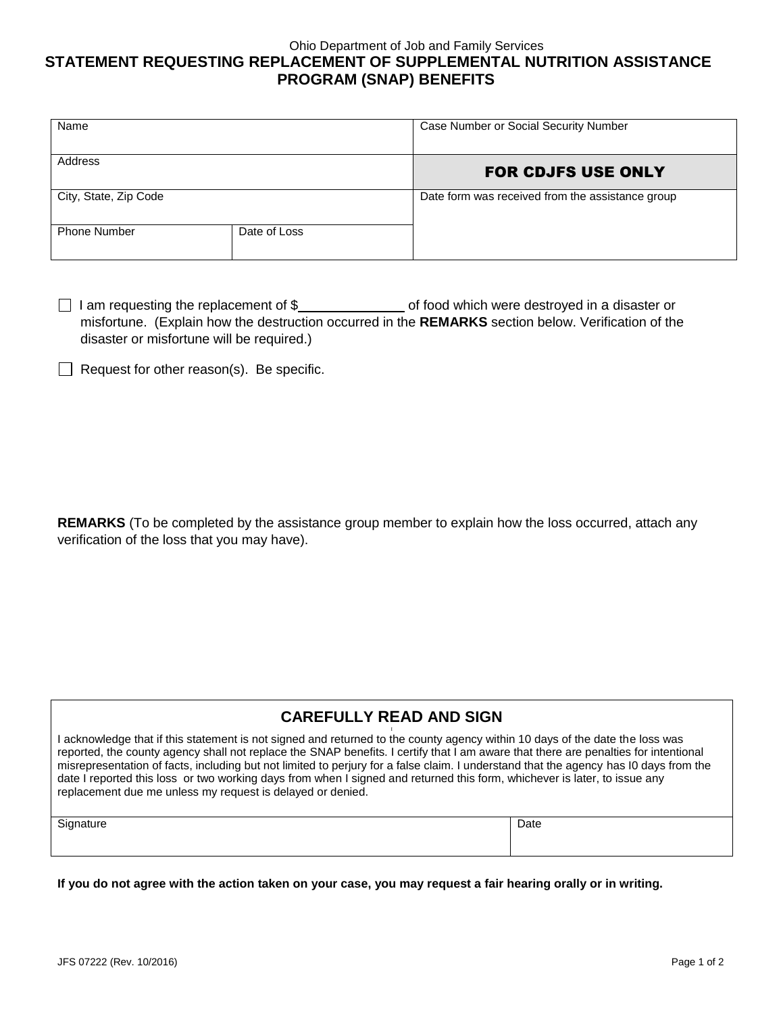## Ohio Department of Job and Family Services **STATEMENT REQUESTING REPLACEMENT OF SUPPLEMENTAL NUTRITION ASSISTANCE PROGRAM (SNAP) BENEFITS**

| Name                  |              | Case Number or Social Security Number            |
|-----------------------|--------------|--------------------------------------------------|
| Address               |              | <b>FOR CDJFS USE ONLY</b>                        |
| City, State, Zip Code |              | Date form was received from the assistance group |
| <b>Phone Number</b>   | Date of Loss |                                                  |

 $\Box$  I am requesting the replacement of \$ $\Box$  of food which were destroyed in a disaster or misfortune. (Explain how the destruction occurred in the **REMARKS** section below. Verification of the disaster or misfortune will be required.)

 $\Box$  Request for other reason(s). Be specific.

**REMARKS** (To be completed by the assistance group member to explain how the loss occurred, attach any verification of the loss that you may have).

## **CAREFULLY READ AND SIGN**

I acknowledge that if this statement is not signed and returned to the county agency within 10 days of the date the loss was reported, the county agency shall not replace the SNAP benefits. I certify that I am aware that there are penalties for intentional misrepresentation of facts, including but not limited to perjury for a false claim. I understand that the agency has I0 days from the date I reported this loss or two working days from when I signed and returned this form, whichever is later, to issue any replacement due me unless my request is delayed or denied.

| Signature | Date |
|-----------|------|
|-----------|------|

**If you do not agree with the action taken on your case, you may request a fair hearing orally or in writing.**